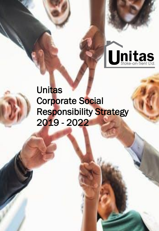

## **Unitas** Corporate Social [Responsibility Strategy](https://www.pexels.com/photo/adult-african-american-woman-business-businessmen-1056561/)  2019 - 2022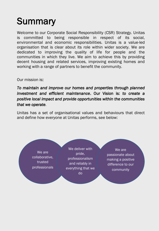## **Summary**

Welcome to our Corporate Social Responsibility (CSR) Strategy. Unitas is committed to being responsible in respect of its social, environmental and economic responsibilities. Unitas is a value-led organisation that is clear about its role within wider society. We are dedicated to improving the quality of life for people and the communities in which they live. We aim to achieve this by providing decent housing and related services, improving existing homes and working with a range of partners to benefit the community.

#### Our mission is:

*To maintain and improve our homes and properties through planned investment and efficient maintenance*. Our Vision is: *to create a positive local impact and provide opportunities within the communities that we operate.* 

Unitas has a set of organisational values and behaviours that direct and define how everyone at Unitas performs, see below:

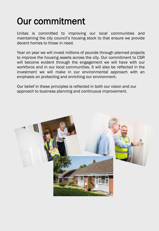# Our commitment

Unitas is committed to improving our local communities and maintaining the city council's housing stock to that ensure we provide decent homes to those in need.

Year on year we will invest millions of pounds through planned projects to improve the housing assets across the city. Our commitment to CSR will become evident through the engagement we will have with our workforce and in our local communities. It will also be reflected in the investment we will make in our environmental approach with an emphasis on protecting and enriching our environment.

Our belief in these principles is reflected in both our vision and our approach to business planning and continuous improvement.

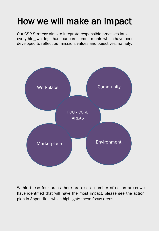## How we will make an impact

Our CSR Strategy aims to integrate responsible practises into everything we do; it has four core commitments which have been developed to reflect our mission, values and objectives, namely:



Within these four areas there are also a number of action areas we have identified that will have the most impact, please see the action plan in Appendix 1 which highlights these focus areas.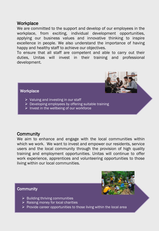### **Workplace**

We are committed to the support and develop of our employees in the workplace, from exciting, individual development opportunities, applying our business values and innovative thinking to inspire excellence in people. We also understand the importance of having happy and healthy staff to achieve our objectives.

To ensure that all staff are competent and able to carry out their duties, Unitas will invest in their training and professional development.



#### **Workplace**

- $\triangleright$  Valuing and investing in our staff
- $\triangleright$  Developing employees by offering suitable training
- $\triangleright$  Invest in the wellbeing of our workforce

### **Community**

We aim to enhance and engage with the local communities within which we work. We want to invest and empower our residents, service users and the local community through the provision of high quality training and employment opportunities. Unitas will continue to offer work experience, apprentices and volunteering opportunities to those living within our local communities.

#### **Community**



- $\triangleright$  Building thriving communities
- $\triangleright$  Raising money for local charities
- $\triangleright$  Provide career opportunities to those living within the local area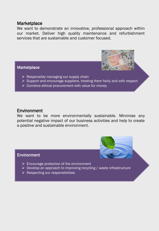#### **Marketplace**

We want to demonstrate an innovative, professional approach within our market. Deliver high quality maintenance and refurbishment services that are sustainable and customer focused.

#### **Marketplace**



- $\triangleright$  Responsibly managing our supply chain
- $\triangleright$  Support and encourage suppliers, treating them fairly and with respect
- $\triangleright$  Combine ethical procurement with value for money

#### Environment

We want to be more environmentally sustainable. Minimise any potential negative impact of our business activities and help to create a positive and sustainable environment.

#### Environment



- $\triangleright$  Encourage protection of the environment
- $\triangleright$  Develop an approach to improving recycling / waste infrastructure
- $\triangleright$  Respecting our responsibilities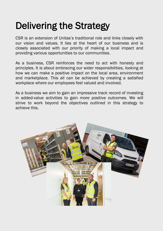## Delivering the Strategy

CSR is an extension of Unitas's traditional role and links closely with our vision and values. It lies at the heart of our business and is closely associated with our priority of making a local impact and providing various opportunities to our communities.

As a business, CSR reinforces the need to act with honesty and principles. It is about embracing our wider responsibilities, looking at how we can make a positive impact on the local area, environment and marketplace. This all can be achieved by creating a satisfied workplace where our employees feel valued and involved.

As a business we aim to gain an impressive track record of investing in added-value activities to gain more positive outcomes. We will strive to work beyond the objectives outlined in this strategy to achieve this.

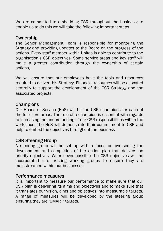We are committed to embedding CSR throughout the business; to enable us to do this we will take the following important steps.

### **Ownership**

The Senior Management Team is responsible for monitoring the Strategy and providing updates to the Board on the progress of the actions. Every staff member within Unitas is able to contribute to the organisation's CSR objectives. Some service areas and key staff will make a greater contribution through the ownership of certain actions,

We will ensure that our employees have the tools and resources required to deliver this Strategy. Financial resources will be allocated centrally to support the development of the CSR Strategy and the associated projects.

## **Champions**

Our Heads of Service (HoS) will be the CSR champions for each of the four core areas. The role of a champion is essential with regards to increasing the understanding of our CSR responsibilities within the workplace. The HoS will demonstrate their commitment to CSR and help to embed the objectives throughout the business

## CSR Steering Group

A steering group will be set up with a focus on overseeing the development and completion of the action plan that delivers on priority objectives. Where ever possible the CSR objectives will be incorporated into existing working groups to ensure they are mainstreamed within our businesses.

## Performance measures

It is important to measure our performance to make sure that our CSR plan is delivering its aims and objectives and to make sure that it translates our vision, aims and objectives into measurable targets. A range of measures will be developed by the steering group ensuring they are 'SMART' targets.